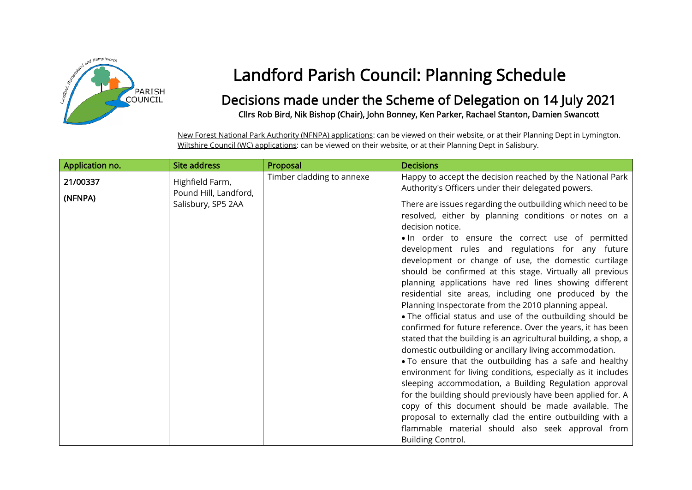

## Landford Parish Council: Planning Schedule

## Decisions made under the Scheme of Delegation on 14 July 2021 Cllrs Rob Bird, Nik Bishop (Chair), John Bonney, Ken Parker, Rachael Stanton, Damien Swancott

New Forest National Park Authority (NFNPA) applications: can be viewed on their website, or at their Planning Dept in Lymington. Wiltshire Council (WC) applications: can be viewed on their website, or at their Planning Dept in Salisbury.

| Application no. | <b>Site address</b>                      | Proposal                  | <b>Decisions</b>                                                                                                                                                                                                                                                                                                                                                                                                                                                                                                                                                                                                                                                                                                                                                                                                                                                                                                                                                                                                                                                                                                                                                                                                                                                      |
|-----------------|------------------------------------------|---------------------------|-----------------------------------------------------------------------------------------------------------------------------------------------------------------------------------------------------------------------------------------------------------------------------------------------------------------------------------------------------------------------------------------------------------------------------------------------------------------------------------------------------------------------------------------------------------------------------------------------------------------------------------------------------------------------------------------------------------------------------------------------------------------------------------------------------------------------------------------------------------------------------------------------------------------------------------------------------------------------------------------------------------------------------------------------------------------------------------------------------------------------------------------------------------------------------------------------------------------------------------------------------------------------|
| 21/00337        | Highfield Farm,<br>Pound Hill, Landford, | Timber cladding to annexe | Happy to accept the decision reached by the National Park<br>Authority's Officers under their delegated powers.                                                                                                                                                                                                                                                                                                                                                                                                                                                                                                                                                                                                                                                                                                                                                                                                                                                                                                                                                                                                                                                                                                                                                       |
| (NFNPA)         | Salisbury, SP5 2AA                       |                           | There are issues regarding the outbuilding which need to be<br>resolved, either by planning conditions or notes on a<br>decision notice.<br>. In order to ensure the correct use of permitted<br>development rules and regulations for any future<br>development or change of use, the domestic curtilage<br>should be confirmed at this stage. Virtually all previous<br>planning applications have red lines showing different<br>residential site areas, including one produced by the<br>Planning Inspectorate from the 2010 planning appeal.<br>• The official status and use of the outbuilding should be<br>confirmed for future reference. Over the years, it has been<br>stated that the building is an agricultural building, a shop, a<br>domestic outbuilding or ancillary living accommodation.<br>. To ensure that the outbuilding has a safe and healthy<br>environment for living conditions, especially as it includes<br>sleeping accommodation, a Building Regulation approval<br>for the building should previously have been applied for. A<br>copy of this document should be made available. The<br>proposal to externally clad the entire outbuilding with a<br>flammable material should also seek approval from<br><b>Building Control.</b> |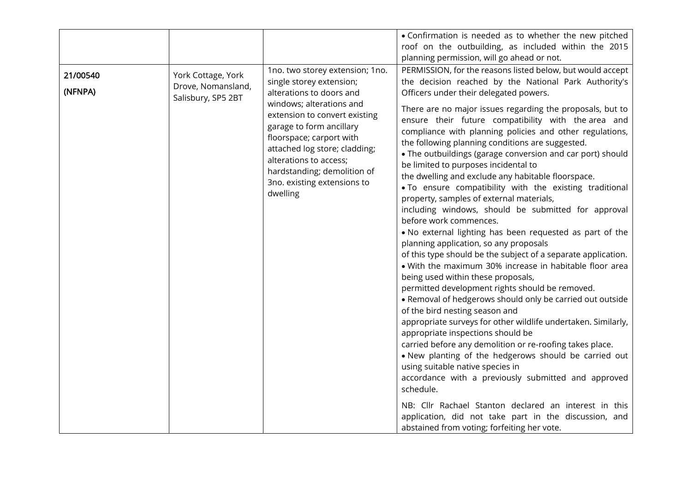| 21/00540<br>(NFNPA) | York Cottage, York<br>Drove, Nomansland,<br>Salisbury, SP5 2BT | 1no. two storey extension; 1no.<br>single storey extension;<br>alterations to doors and<br>windows; alterations and<br>extension to convert existing<br>garage to form ancillary<br>floorspace; carport with<br>attached log store; cladding;<br>alterations to access;<br>hardstanding; demolition of<br>3no. existing extensions to<br>dwelling | • Confirmation is needed as to whether the new pitched<br>roof on the outbuilding, as included within the 2015<br>planning permission, will go ahead or not.<br>PERMISSION, for the reasons listed below, but would accept<br>the decision reached by the National Park Authority's<br>Officers under their delegated powers.<br>There are no major issues regarding the proposals, but to<br>ensure their future compatibility with the area and<br>compliance with planning policies and other regulations,<br>the following planning conditions are suggested.<br>• The outbuildings (garage conversion and car port) should<br>be limited to purposes incidental to<br>the dwelling and exclude any habitable floorspace.<br>. To ensure compatibility with the existing traditional<br>property, samples of external materials,<br>including windows, should be submitted for approval<br>before work commences.<br>. No external lighting has been requested as part of the<br>planning application, so any proposals<br>of this type should be the subject of a separate application.<br>. With the maximum 30% increase in habitable floor area<br>being used within these proposals,<br>permitted development rights should be removed.<br>. Removal of hedgerows should only be carried out outside<br>of the bird nesting season and<br>appropriate surveys for other wildlife undertaken. Similarly,<br>appropriate inspections should be<br>carried before any demolition or re-roofing takes place.<br>. New planting of the hedgerows should be carried out<br>using suitable native species in<br>accordance with a previously submitted and approved<br>schedule. |
|---------------------|----------------------------------------------------------------|---------------------------------------------------------------------------------------------------------------------------------------------------------------------------------------------------------------------------------------------------------------------------------------------------------------------------------------------------|------------------------------------------------------------------------------------------------------------------------------------------------------------------------------------------------------------------------------------------------------------------------------------------------------------------------------------------------------------------------------------------------------------------------------------------------------------------------------------------------------------------------------------------------------------------------------------------------------------------------------------------------------------------------------------------------------------------------------------------------------------------------------------------------------------------------------------------------------------------------------------------------------------------------------------------------------------------------------------------------------------------------------------------------------------------------------------------------------------------------------------------------------------------------------------------------------------------------------------------------------------------------------------------------------------------------------------------------------------------------------------------------------------------------------------------------------------------------------------------------------------------------------------------------------------------------------------------------------------------------------------------------------------------------------------|
|                     |                                                                |                                                                                                                                                                                                                                                                                                                                                   | NB: Cllr Rachael Stanton declared an interest in this<br>application, did not take part in the discussion, and<br>abstained from voting; forfeiting her vote.                                                                                                                                                                                                                                                                                                                                                                                                                                                                                                                                                                                                                                                                                                                                                                                                                                                                                                                                                                                                                                                                                                                                                                                                                                                                                                                                                                                                                                                                                                                      |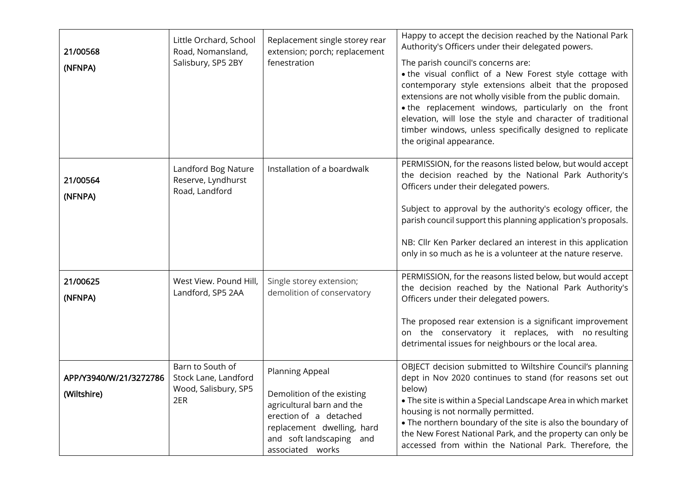| 21/00568<br>(NFNPA)                   | Little Orchard, School<br>Road, Nomansland,<br>Salisbury, SP5 2BY       | Replacement single storey rear<br>extension; porch; replacement<br>fenestration                                                                                                    | Happy to accept the decision reached by the National Park<br>Authority's Officers under their delegated powers.<br>The parish council's concerns are:<br>. the visual conflict of a New Forest style cottage with<br>contemporary style extensions albeit that the proposed<br>extensions are not wholly visible from the public domain.<br>. the replacement windows, particularly on the front<br>elevation, will lose the style and character of traditional<br>timber windows, unless specifically designed to replicate<br>the original appearance. |
|---------------------------------------|-------------------------------------------------------------------------|------------------------------------------------------------------------------------------------------------------------------------------------------------------------------------|----------------------------------------------------------------------------------------------------------------------------------------------------------------------------------------------------------------------------------------------------------------------------------------------------------------------------------------------------------------------------------------------------------------------------------------------------------------------------------------------------------------------------------------------------------|
| 21/00564<br>(NFNPA)                   | Landford Bog Nature<br>Reserve, Lyndhurst<br>Road, Landford             | Installation of a boardwalk                                                                                                                                                        | PERMISSION, for the reasons listed below, but would accept<br>the decision reached by the National Park Authority's<br>Officers under their delegated powers.<br>Subject to approval by the authority's ecology officer, the<br>parish council support this planning application's proposals.<br>NB: Cllr Ken Parker declared an interest in this application<br>only in so much as he is a volunteer at the nature reserve.                                                                                                                             |
| 21/00625<br>(NFNPA)                   | West View. Pound Hill,<br>Landford, SP5 2AA                             | Single storey extension;<br>demolition of conservatory                                                                                                                             | PERMISSION, for the reasons listed below, but would accept<br>the decision reached by the National Park Authority's<br>Officers under their delegated powers.<br>The proposed rear extension is a significant improvement<br>on the conservatory it replaces, with no resulting<br>detrimental issues for neighbours or the local area.                                                                                                                                                                                                                  |
| APP/Y3940/W/21/3272786<br>(Wiltshire) | Barn to South of<br>Stock Lane, Landford<br>Wood, Salisbury, SP5<br>2ER | Planning Appeal<br>Demolition of the existing<br>agricultural barn and the<br>erection of a detached<br>replacement dwelling, hard<br>and soft landscaping and<br>associated works | OBJECT decision submitted to Wiltshire Council's planning<br>dept in Nov 2020 continues to stand (for reasons set out<br>below)<br>. The site is within a Special Landscape Area in which market<br>housing is not normally permitted.<br>. The northern boundary of the site is also the boundary of<br>the New Forest National Park, and the property can only be<br>accessed from within the National Park. Therefore, the                                                                                                                            |